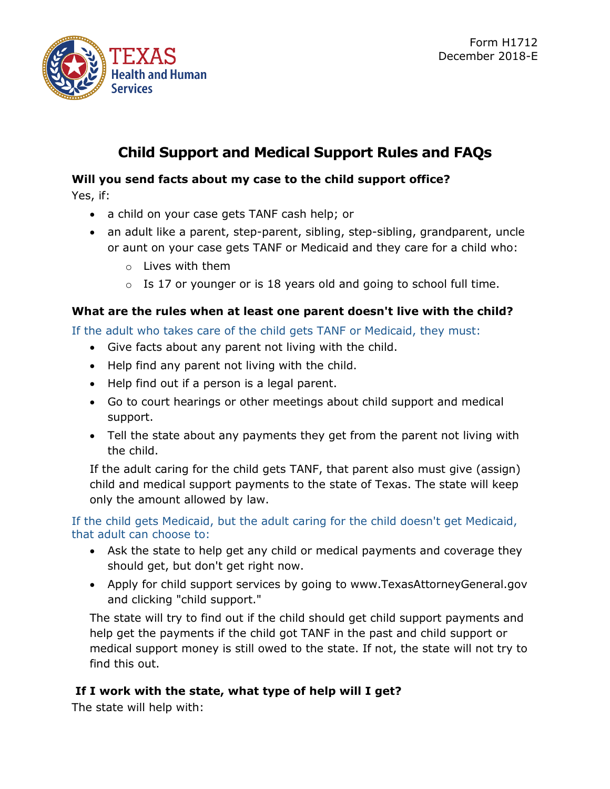

# **Child Support and Medical Support Rules and FAQs**

## **Will you send facts about my case to the child support office?**

Yes, if:

- a child on your case gets TANF cash help; or
- an adult like a parent, step-parent, sibling, step-sibling, grandparent, uncle or aunt on your case gets TANF or Medicaid and they care for a child who:
	- o Lives with them
	- $\circ$  Is 17 or younger or is 18 years old and going to school full time.

#### **What are the rules when at least one parent doesn't live with the child?**

If the adult who takes care of the child gets TANF or Medicaid, they must:

- Give facts about any parent not living with the child.
- Help find any parent not living with the child.
- Help find out if a person is a legal parent.
- Go to court hearings or other meetings about child support and medical support.
- Tell the state about any payments they get from the parent not living with the child.

If the adult caring for the child gets TANF, that parent also must give (assign) child and medical support payments to the state of Texas. The state will keep only the amount allowed by law.

If the child gets Medicaid, but the adult caring for the child doesn't get Medicaid, that adult can choose to:

- Ask the state to help get any child or medical payments and coverage they should get, but don't get right now.
- Apply for child support services by going [to www.TexasAttorneyGeneral.gov](http://www.texasattorneygeneral.gov/) and clicking "child support."

The state will try to find out if the child should get child support payments and help get the payments if the child got TANF in the past and child support or medical support money is still owed to the state. If not, the state will not try to find this out.

# **If I work with the state, what type of help will I get?**

The state will help with: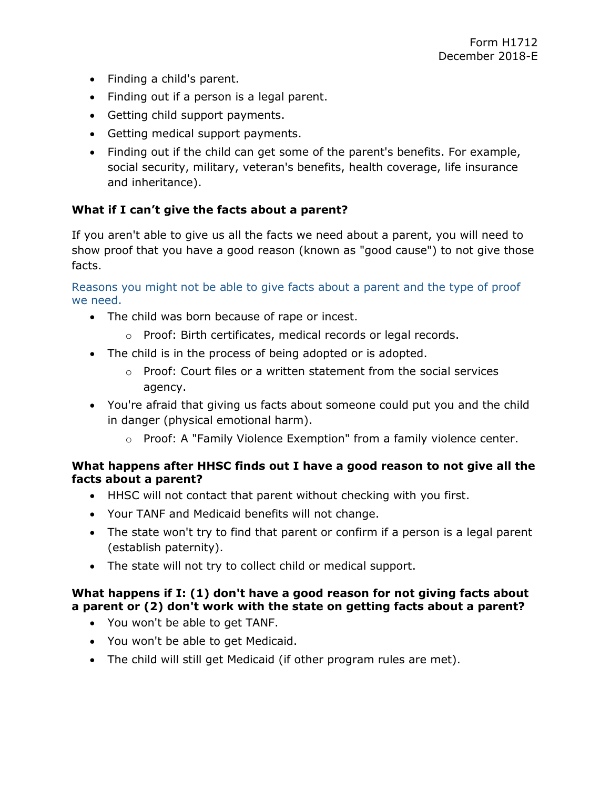- Finding a child's parent.
- Finding out if a person is a legal parent.
- Getting child support payments.
- Getting medical support payments.
- Finding out if the child can get some of the parent's benefits. For example, social security, military, veteran's benefits, health coverage, life insurance and inheritance).

## **What if I can't give the facts about a parent?**

If you aren't able to give us all the facts we need about a parent, you will need to show proof that you have a good reason (known as "good cause") to not give those facts.

Reasons you might not be able to give facts about a parent and the type of proof we need.

- The child was born because of rape or incest.
	- o Proof: Birth certificates, medical records or legal records.
- The child is in the process of being adopted or is adopted.
	- $\circ$  Proof: Court files or a written statement from the social services agency.
- You're afraid that giving us facts about someone could put you and the child in danger (physical emotional harm).
	- o Proof: A "Family Violence Exemption" from a family violence center.

#### **What happens after HHSC finds out I have a good reason to not give all the facts about a parent?**

- HHSC will not contact that parent without checking with you first.
- Your TANF and Medicaid benefits will not change.
- The state won't try to find that parent or confirm if a person is a legal parent (establish paternity).
- The state will not try to collect child or medical support.

## **What happens if I: (1) don't have a good reason for not giving facts about a parent or (2) don't work with the state on getting facts about a parent?**

- You won't be able to get TANF.
- You won't be able to get Medicaid.
- The child will still get Medicaid (if other program rules are met).